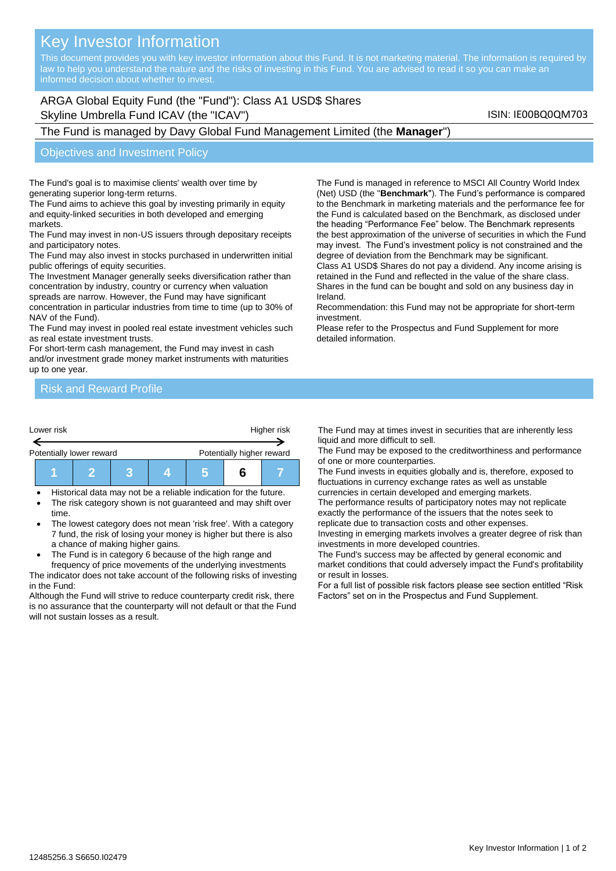# Key Investor Information

This document provides you with key investor information about this Fund. It is not marketing material. The information is required by law to help you understand the nature and the risks of investing in this Fund. You are advised to read it so you can make an

# ARGA Global Equity Fund (the "Fund"): Class A1 USD\$ Shares Skyline Umbrella Fund ICAV (the "ICAV") Skyline Umbrella Fund ICAV (the "ICAV")

# The Fund is managed by Davy Global Fund Management Limited (the **Manager**")

#### Objectives and Investment Policy

The Fund's goal is to maximise clients' wealth over time by generating superior long-term returns.

The Fund aims to achieve this goal by investing primarily in equity and equity-linked securities in both developed and emerging markets.

The Fund may invest in non-US issuers through depositary receipts and participatory notes.

The Fund may also invest in stocks purchased in underwritten initial public offerings of equity securities.

The Investment Manager generally seeks diversification rather than concentration by industry, country or currency when valuation spreads are narrow. However, the Fund may have significant concentration in particular industries from time to time (up to 30% of NAV of the Fund).

The Fund may invest in pooled real estate investment vehicles such as real estate investment trusts.

For short-term cash management, the Fund may invest in cash and/or investment grade money market instruments with maturities up to one year.

(Net) USD (the "**Benchmark**"). The Fund's performance is compared to the Benchmark in marketing materials and the performance fee for the Fund is calculated based on the Benchmark, as disclosed under the heading "Performance Fee" below. The Benchmark represents the best approximation of the universe of securities in which the Fund may invest. The Fund's investment policy is not constrained and the degree of deviation from the Benchmark may be significant. Class A1 USD\$ Shares do not pay a dividend. Any income arising is

The Fund is managed in reference to MSCI All Country World Index

retained in the Fund and reflected in the value of the share class. Shares in the fund can be bought and sold on any business day in Ireland.

Recommendation: this Fund may not be appropriate for short-term investment.

Please refer to the Prospectus and Fund Supplement for more detailed information.

## Risk and Reward Profile

| Lower risk               |  |  |  | Higher risk               |  |  |
|--------------------------|--|--|--|---------------------------|--|--|
| Potentially lower reward |  |  |  | Potentially higher reward |  |  |
|                          |  |  |  |                           |  |  |

• Historical data may not be a reliable indication for the future. The risk category shown is not guaranteed and may shift over

- time. The lowest category does not mean 'risk free'. With a category 7 fund, the risk of losing your money is higher but there is also a chance of making higher gains.
- The Fund is in category 6 because of the high range and

frequency of price movements of the underlying investments The indicator does not take account of the following risks of investing in the Fund:

Although the Fund will strive to reduce counterparty credit risk, there is no assurance that the counterparty will not default or that the Fund will not sustain losses as a result.

The Fund may at times invest in securities that are inherently less liquid and more difficult to sell.

The Fund may be exposed to the creditworthiness and performance of one or more counterparties.

The Fund invests in equities globally and is, therefore, exposed to fluctuations in currency exchange rates as well as unstable currencies in certain developed and emerging markets.

The performance results of participatory notes may not replicate exactly the performance of the issuers that the notes seek to replicate due to transaction costs and other expenses.

Investing in emerging markets involves a greater degree of risk than investments in more developed countries.

The Fund's success may be affected by general economic and market conditions that could adversely impact the Fund's profitability or result in losses.

For a full list of possible risk factors please see section entitled "Risk Factors" set on in the Prospectus and Fund Supplement.